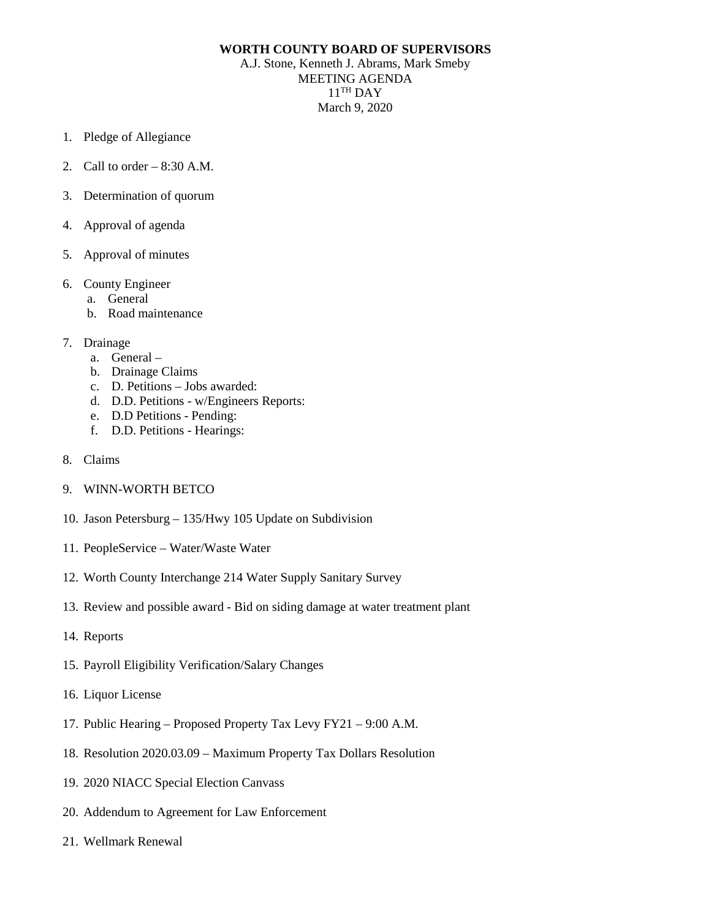## **WORTH COUNTY BOARD OF SUPERVISORS**

A.J. Stone, Kenneth J. Abrams, Mark Smeby MEETING AGENDA  $11$ <sup>TH</sup> DAY March 9, 2020

- 1. Pledge of Allegiance
- 2. Call to order 8:30 A.M.
- 3. Determination of quorum
- 4. Approval of agenda
- 5. Approval of minutes
- 6. County Engineer
	- a. General
	- b. Road maintenance
- 7. Drainage
	- a. General –
	- b. Drainage Claims
	- c. D. Petitions Jobs awarded:
	- d. D.D. Petitions w/Engineers Reports:
	- e. D.D Petitions Pending:
	- f. D.D. Petitions Hearings:
- 8. Claims
- 9. WINN-WORTH BETCO
- 10. Jason Petersburg 135/Hwy 105 Update on Subdivision
- 11. PeopleService Water/Waste Water
- 12. Worth County Interchange 214 Water Supply Sanitary Survey
- 13. Review and possible award Bid on siding damage at water treatment plant
- 14. Reports
- 15. Payroll Eligibility Verification/Salary Changes
- 16. Liquor License
- 17. Public Hearing Proposed Property Tax Levy FY21 9:00 A.M.
- 18. Resolution 2020.03.09 Maximum Property Tax Dollars Resolution
- 19. 2020 NIACC Special Election Canvass
- 20. Addendum to Agreement for Law Enforcement
- 21. Wellmark Renewal